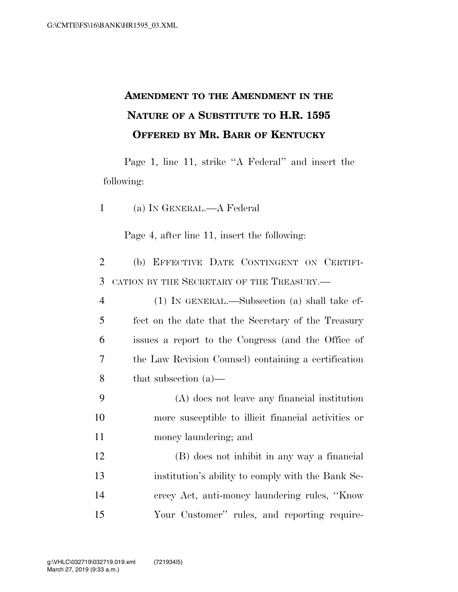## **AMENDMENT TO THE AMENDMENT IN THE NATURE OF A SUBSTITUTE TO H.R. 1595 OFFERED BY MR. BARR OF KENTUCKY**

Page 1, line 11, strike ''A Federal'' and insert the following:

(a) IN GENERAL.—A Federal

Page 4, after line 11, insert the following:

 (b) EFFECTIVE DATE CONTINGENT ON CERTIFI-CATION BY THE SECRETARY OF THE TREASURY.—

- (1) IN GENERAL.—Subsection (a) shall take ef- fect on the date that the Secretary of the Treasury issues a report to the Congress (and the Office of the Law Revision Counsel) containing a certification that subsection (a)—
- (A) does not leave any financial institution more susceptible to illicit financial activities or money laundering; and

 (B) does not inhibit in any way a financial institution's ability to comply with the Bank Se- crecy Act, anti-money laundering rules, ''Know Your Customer'' rules, and reporting require